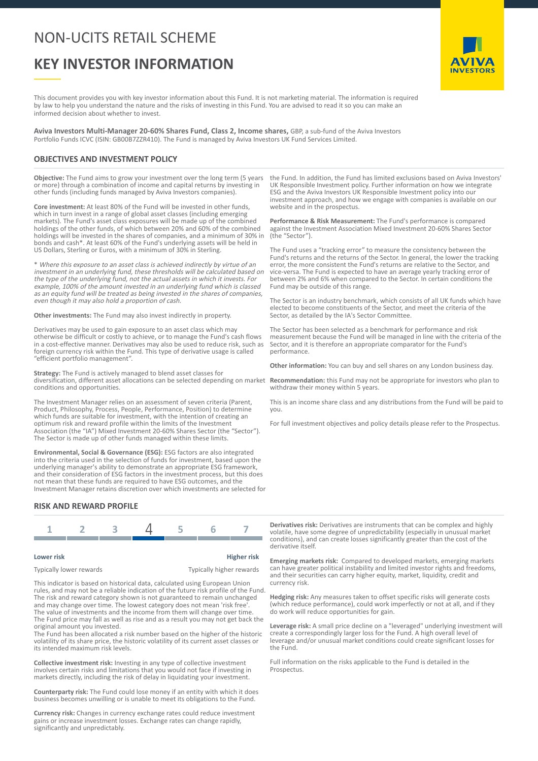# NON-UCITS RETAIL SCHEME

# **KEY INVESTOR INFORMATION**

AVIVA **INVESTORS** 

This document provides you with key investor information about this Fund. It is not marketing material. The information is required by law to help you understand the nature and the risks of investing in this Fund. You are advised to read it so you can make an informed decision about whether to invest.

**Aviva Investors Multi-Manager 20-60% Shares Fund, Class 2, Income shares,** GBP, a sub-fund of the Aviva Investors Portfolio Funds ICVC (ISIN: GB00B7ZZR410). The Fund is managed by Aviva Investors UK Fund Services Limited.

### **OBJECTIVES AND INVESTMENT POLICY**

**Objective:** The Fund aims to grow your investment over the long term (5 years or more) through a combination of income and capital returns by investing in other funds (including funds managed by Aviva Investors companies).

**Core investment:** At least 80% of the Fund will be invested in other funds, which in turn invest in a range of global asset classes (including emerging markets). The Fund's asset class exposures will be made up of the combined holdings of the other funds, of which between 20% and 60% of the combined holdings will be invested in the shares of companies, and a minimum of 30% in bonds and cash\*. At least 60% of the Fund's underlying assets will be held in US Dollars, Sterling or Euros, with a minimum of 30% in Sterling.

\* Where this exposure to an asset class is achieved indirectly by virtue of an investment in an underlying fund, these thresholds will be calculated based on the type of the underlying fund, not the actual assets in which it invests. For example, 100% of the amount invested in an underlying fund which is classed as an equity fund will be treated as being invested in the shares of companies, even though it may also hold a proportion of cash.

**Other investments:** The Fund may also invest indirectly in property.

Derivatives may be used to gain exposure to an asset class which may otherwise be difficult or costly to achieve, or to manage the Fund's cash flows in a cost-effective manner. Derivatives may also be used to reduce risk, such as foreign currency risk within the Fund. This type of derivative usage is called "efficient portfolio management".

**Strategy:** The Fund is actively managed to blend asset classes for diversification, different asset allocations can be selected depending on market conditions and opportunities.

The Investment Manager relies on an assessment of seven criteria (Parent, Product, Philosophy, Process, People, Performance, Position) to determine which funds are suitable for investment, with the intention of creating an optimum risk and reward profile within the limits of the Investment Association (the "IA") Mixed Investment 20-60% Shares Sector (the "Sector"). The Sector is made up of other funds managed within these limits.

**Environmental, Social & Governance (ESG):** ESG factors are also integrated into the criteria used in the selection of funds for investment, based upon the underlying manager's ability to demonstrate an appropriate ESG framework, and their consideration of ESG factors in the investment process, but this does not mean that these funds are required to have ESG outcomes, and the Investment Manager retains discretion over which investments are selected for

#### **RISK AND REWARD PROFILE**



| Lower risk              | <b>Higher risk</b>       |
|-------------------------|--------------------------|
| Typically lower rewards | Typically higher rewards |

This indicator is based on historical data, calculated using European Union rules, and may not be a reliable indication of the future risk profile of the Fund. The risk and reward category shown is not guaranteed to remain unchanged and may change over time. The lowest category does not mean 'risk free'. The value of investments and the income from them will change over time. The Fund price may fall as well as rise and as a result you may not get back the original amount you invested.

The Fund has been allocated a risk number based on the higher of the historic volatility of its share price, the historic volatility of its current asset classes or its intended maximum risk levels.

**Collective investment risk:** Investing in any type of collective investment involves certain risks and limitations that you would not face if investing in markets directly, including the risk of delay in liquidating your investment.

**Counterparty risk:** The Fund could lose money if an entity with which it does business becomes unwilling or is unable to meet its obligations to the Fund.

**Currency risk:** Changes in currency exchange rates could reduce investment gains or increase investment losses. Exchange rates can change rapidly, significantly and unpredictably.

the Fund. In addition, the Fund has limited exclusions based on Aviva Investors' UK Responsible Investment policy. Further information on how we integrate ESG and the Aviva Investors UK Responsible Investment policy into our investment approach, and how we engage with companies is available on our website and in the prospectus.

**Performance & Risk Measurement:** The Fund's performance is compared against the Investment Association Mixed Investment 20-60% Shares Sector (the "Sector").

The Fund uses a "tracking error" to measure the consistency between the Fund's returns and the returns of the Sector. In general, the lower the tracking error, the more consistent the Fund's returns are relative to the Sector, and vice-versa. The Fund is expected to have an average yearly tracking error of between 2% and 6% when compared to the Sector. In certain conditions the Fund may be outside of this range.

The Sector is an industry benchmark, which consists of all UK funds which have elected to become constituents of the Sector, and meet the criteria of the Sector, as detailed by the IA's Sector Committee.

The Sector has been selected as a benchmark for performance and risk measurement because the Fund will be managed in line with the criteria of the Sector, and it is therefore an appropriate comparator for the Fund's performance.

**Other information:** You can buy and sell shares on any London business day.

**Recommendation:** this Fund may not be appropriate for investors who plan to withdraw their money within 5 years.

This is an income share class and any distributions from the Fund will be paid to you.

For full investment objectives and policy details please refer to the Prospectus.

**Derivatives risk:** Derivatives are instruments that can be complex and highly volatile, have some degree of unpredictability (especially in unusual market conditions), and can create losses significantly greater than the cost of the derivative itself.

**Emerging markets risk:** Compared to developed markets, emerging markets can have greater political instability and limited investor rights and freedoms, and their securities can carry higher equity, market, liquidity, credit and currency risk.

**Hedging risk:** Any measures taken to offset specific risks will generate costs (which reduce performance), could work imperfectly or not at all, and if they do work will reduce opportunities for gain.

**Leverage risk:** A small price decline on a "leveraged" underlying investment will create a correspondingly larger loss for the Fund. A high overall level of leverage and/or unusual market conditions could create significant losses for the Fund.

Full information on the risks applicable to the Fund is detailed in the Prospectus.